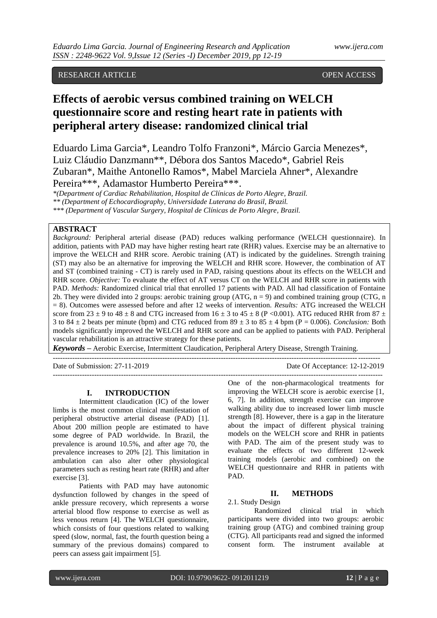# RESEARCH ARTICLE **CONSERVERS** OPEN ACCESS

# **Effects of aerobic versus combined training on WELCH questionnaire score and resting heart rate in patients with peripheral artery disease: randomized clinical trial**

Eduardo Lima Garcia\*, Leandro Tolfo Franzoni\*, Márcio Garcia Menezes\*, Luiz Cláudio Danzmann\*\*, Débora dos Santos Macedo\*, Gabriel Reis Zubaran\*, Maithe Antonello Ramos\*, Mabel Marciela Ahner\*, Alexandre Pereira\*\*\*, Adamastor Humberto Pereira\*\*\*.

*\*(Department of Cardiac Rehabilitation, Hospital de Clínicas de Porto Alegre, Brazil.* 

*\*\* (Department of Echocardiography, Universidade Luterana do Brasil, Brazil.* 

*\*\*\* (Department of Vascular Surgery, Hospital de Clínicas de Porto Alegre, Brazil.*

## **ABSTRACT**

*Background:* Peripheral arterial disease (PAD) reduces walking performance (WELCH questionnaire). In addition, patients with PAD may have higher resting heart rate (RHR) values. Exercise may be an alternative to improve the WELCH and RHR score. Aerobic training (AT) is indicated by the guidelines. Strength training (ST) may also be an alternative for improving the WELCH and RHR score. However, the combination of AT and ST (combined training - CT) is rarely used in PAD, raising questions about its effects on the WELCH and RHR score. *Objective:* To evaluate the effect of AT versus CT on the WELCH and RHR score in patients with PAD. *Methods:* Randomized clinical trial that enrolled 17 patients with PAD. All had classification of Fontaine 2b. They were divided into 2 groups: aerobic training group  $(ATG, n = 9)$  and combined training group  $(CTG, n = 1)$ = 8). Outcomes were assessed before and after 12 weeks of intervention. *Results:* ATG increased the WELCH score from 23  $\pm$  9 to 48  $\pm$  8 and CTG increased from 16  $\pm$  3 to 45  $\pm$  8 (P <0.001). ATG reduced RHR from 87  $\pm$ 3 to  $84 \pm 2$  beats per minute (bpm) and CTG reduced from  $89 \pm 3$  to  $85 \pm 4$  bpm (P = 0.006). *Conclusion:* Both models significantly improved the WELCH and RHR score and can be applied to patients with PAD. Peripheral vascular rehabilitation is an attractive strategy for these patients.

*Keywords* **–** Aerobic Exercise, Intermittent Claudication, Peripheral Artery Disease, Strength Training.

---------------------------------------------------------------------------------------------------------------------------------------

Date of Submission: 27-11-2019 Date Of Acceptance: 12-12-2019

#### **I. INTRODUCTION**

Intermittent claudication (IC) of the lower limbs is the most common clinical manifestation of peripheral obstructive arterial disease (PAD) [1]. About 200 million people are estimated to have some degree of PAD worldwide. In Brazil, the prevalence is around 10.5%, and after age 70, the prevalence increases to 20% [2]. This limitation in ambulation can also alter other physiological parameters such as resting heart rate (RHR) and after exercise [3].

Patients with PAD may have autonomic dysfunction followed by changes in the speed of ankle pressure recovery, which represents a worse arterial blood flow response to exercise as well as less venous return [4]. The WELCH questionnaire, which consists of four questions related to walking speed (slow, normal, fast, the fourth question being a summary of the previous domains) compared to peers can assess gait impairment [5].

One of the non-pharmacological treatments for improving the WELCH score is aerobic exercise [1, 6, 7]. In addition, strength exercise can improve walking ability due to increased lower limb muscle strength [8]. However, there is a gap in the literature about the impact of different physical training models on the WELCH score and RHR in patients with PAD. The aim of the present study was to evaluate the effects of two different 12-week training models (aerobic and combined) on the WELCH questionnaire and RHR in patients with PAD.

## **II. METHODS**

2.1. Study Design

--------------------------------------------------------------------------------------------------------------------------------------

Randomized clinical trial in which participants were divided into two groups: aerobic training group (ATG) and combined training group (CTG). All participants read and signed the informed consent form. The instrument available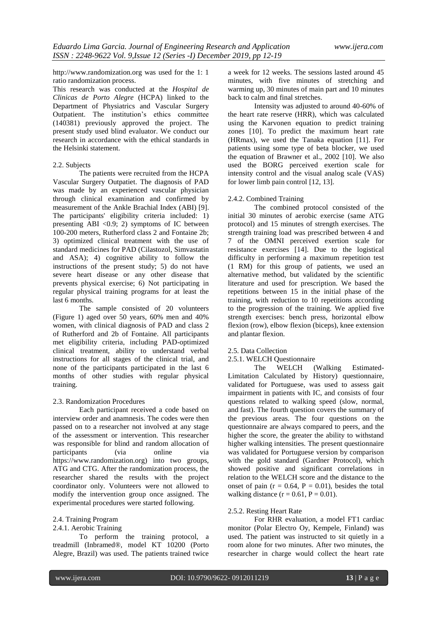http://www.randomization.org was used for the 1: 1 ratio randomization process.

This research was conducted at the *Hospital de Clinicas de Porto Alegre* (HCPA) linked to the Department of Physiatrics and Vascular Surgery Outpatient. The institution's ethics committee (140381) previously approved the project. The present study used blind evaluator. We conduct our research in accordance with the ethical standards in the Helsinki statement.

## 2.2. Subjects

The patients were recruited from the HCPA Vascular Surgery Outpatiet. The diagnosis of PAD was made by an experienced vascular physician through clinical examination and confirmed by measurement of the Ankle Brachial Index (ABI) [9]. The participants' eligibility criteria included: 1) presenting ABI < $0.9$ ; 2) symptoms of IC between 100-200 meters, Rutherford class 2 and Fontaine 2b; 3) optimized clinical treatment with the use of standard medicines for PAD (Cilastozol, Simvastatin and ASA); 4) cognitive ability to follow the instructions of the present study; 5) do not have severe heart disease or any other disease that prevents physical exercise; 6) Not participating in regular physical training programs for at least the last 6 months.

The sample consisted of 20 volunteers (Figure 1) aged over 50 years, 60% men and 40% women, with clinical diagnosis of PAD and class 2 of Rutherford and 2b of Fontaine. All participants met eligibility criteria, including PAD-optimized clinical treatment, ability to understand verbal instructions for all stages of the clinical trial, and none of the participants participated in the last 6 months of other studies with regular physical training.

#### 2.3. Randomization Procedures

Each participant received a code based on interview order and anamnesis. The codes were then passed on to a researcher not involved at any stage of the assessment or intervention. This researcher was responsible for blind and random allocation of participants (via online via https://www.randomization.org) into two groups, ATG and CTG. After the randomization process, the researcher shared the results with the project coordinator only. Volunteers were not allowed to modify the intervention group once assigned. The experimental procedures were started following.

# 2.4. Training Program

#### 2.4.1. Aerobic Training

To perform the training protocol, a treadmill (Inbramed®, model KT 10200 (Porto Alegre, Brazil) was used. The patients trained twice

a week for 12 weeks. The sessions lasted around 45 minutes, with five minutes of stretching and warming up, 30 minutes of main part and 10 minutes back to calm and final stretches.

Intensity was adjusted to around 40-60% of the heart rate reserve (HRR), which was calculated using the Karvonen equation to predict training zones [10]. To predict the maximum heart rate (HRmax), we used the Tanaka equation [11]. For patients using some type of beta blocker, we used the equation of Brawner et al., 2002 [10]. We also used the BORG perceived exertion scale for intensity control and the visual analog scale (VAS) for lower limb pain control [12, 13].

#### 2.4.2. Combined Training

The combined protocol consisted of the initial 30 minutes of aerobic exercise (same ATG protocol) and 15 minutes of strength exercises. The strength training load was prescribed between 4 and 7 of the OMNI perceived exertion scale for resistance exercises [14]. Due to the logistical difficulty in performing a maximum repetition test (1 RM) for this group of patients, we used an alternative method, but validated by the scientific literature and used for prescription. We based the repetitions between 15 in the initial phase of the training, with reduction to 10 repetitions according to the progression of the training. We applied five strength exercises: bench press, horizontal elbow flexion (row), elbow flexion (biceps), knee extension and plantar flexion.

#### 2.5. Data Collection

2.5.1. WELCH Questionnaire<br>The WELCH (

The WELCH (Walking Estimated-Limitation Calculated by History) questionnaire, validated for Portuguese, was used to assess gait impairment in patients with IC, and consists of four questions related to walking speed (slow, normal, and fast). The fourth question covers the summary of the previous areas. The four questions on the questionnaire are always compared to peers, and the higher the score, the greater the ability to withstand higher walking intensities. The present questionnaire was validated for Portuguese version by comparison with the gold standard (Gardner Protocol), which showed positive and significant correlations in relation to the WELCH score and the distance to the onset of pain ( $r = 0.64$ ,  $P = 0.01$ ), besides the total walking distance  $(r = 0.61, P = 0.01)$ .

## 2.5.2. Resting Heart Rate

For RHR evaluation, a model FT1 cardiac monitor (Polar Electro Oy, Kempele, Finland) was used. The patient was instructed to sit quietly in a room alone for two minutes. After two minutes, the researcher in charge would collect the heart rate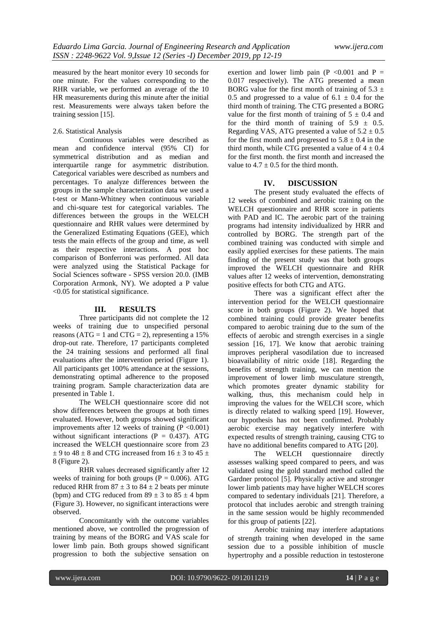measured by the heart monitor every 10 seconds for one minute. For the values corresponding to the RHR variable, we performed an average of the 10 HR measurements during this minute after the initial rest. Measurements were always taken before the training session [15].

## 2.6. Statistical Analysis

Continuous variables were described as mean and confidence interval (95% CI) for symmetrical distribution and as median and interquartile range for asymmetric distribution. Categorical variables were described as numbers and percentages. To analyze differences between the groups in the sample characterization data we used a t-test or Mann-Whitney when continuous variable and chi-square test for categorical variables. The differences between the groups in the WELCH questionnaire and RHR values were determined by the Generalized Estimating Equations (GEE), which tests the main effects of the group and time, as well as their respective interactions. A post hoc comparison of Bonferroni was performed. All data were analyzed using the Statistical Package for Social Sciences software - SPSS version 20.0. (IMB Corporation Armonk, NY). We adopted a P value <0.05 for statistical significance.

## **III. RESULTS**

Three participants did not complete the 12 weeks of training due to unspecified personal reasons (ATG = 1 and CTG = 2), representing a  $15%$ drop-out rate. Therefore, 17 participants completed the 24 training sessions and performed all final evaluations after the intervention period (Figure 1). All participants get 100% attendance at the sessions, demonstrating optimal adherence to the proposed training program. Sample characterization data are presented in Table 1.

The WELCH questionnaire score did not show differences between the groups at both times evaluated. However, both groups showed significant improvements after 12 weeks of training  $(P < 0.001)$ without significant interactions ( $P = 0.437$ ). ATG increased the WELCH questionnaire score from 23  $\pm$  9 to 48  $\pm$  8 and CTG increased from 16  $\pm$  3 to 45  $\pm$ 8 (Figure 2).

RHR values decreased significantly after 12 weeks of training for both groups ( $P = 0.006$ ). ATG reduced RHR from  $87 \pm 3$  to  $84 \pm 2$  beats per minute (bpm) and CTG reduced from  $89 \pm 3$  to  $85 \pm 4$  bpm (Figure 3). However, no significant interactions were observed.

Concomitantly with the outcome variables mentioned above, we controlled the progression of training by means of the BORG and VAS scale for lower limb pain. Both groups showed significant progression to both the subjective sensation on

exertion and lower limb pain (P  $< 0.001$  and P = 0.017 respectively). The ATG presented a mean BORG value for the first month of training of  $5.3 \pm$ 0.5 and progressed to a value of  $6.1 \pm 0.4$  for the third month of training. The CTG presented a BORG value for the first month of training of  $5 \pm 0.4$  and for the third month of training of  $5.9 \pm 0.5$ . Regarding VAS, ATG presented a value of  $5.2 \pm 0.5$ for the first month and progressed to  $5.8 \pm 0.4$  in the third month, while CTG presented a value of  $4 \pm 0.4$ for the first month. the first month and increased the value to  $4.7 \pm 0.5$  for the third month.

#### **IV. DISCUSSION**

The present study evaluated the effects of 12 weeks of combined and aerobic training on the WELCH questionnaire and RHR score in patients with PAD and IC. The aerobic part of the training programs had intensity individualized by HRR and controlled by BORG. The strength part of the combined training was conducted with simple and easily applied exercises for these patients. The main finding of the present study was that both groups improved the WELCH questionnaire and RHR values after 12 weeks of intervention, demonstrating positive effects for both CTG and ATG.

There was a significant effect after the intervention period for the WELCH questionnaire score in both groups (Figure 2). We hoped that combined training could provide greater benefits compared to aerobic training due to the sum of the effects of aerobic and strength exercises in a single session [16, 17]. We know that aerobic training improves peripheral vasodilation due to increased bioavailability of nitric oxide [18]. Regarding the benefits of strength training, we can mention the improvement of lower limb musculature strength, which promotes greater dynamic stability for walking, thus, this mechanism could help in improving the values for the WELCH score, which is directly related to walking speed [19]. However, our hypothesis has not been confirmed. Probably aerobic exercise may negatively interfere with expected results of strength training, causing CTG to have no additional benefits compared to ATG [20].

The WELCH questionnaire directly assesses walking speed compared to peers, and was validated using the gold standard method called the Gardner protocol [5]. Physically active and stronger lower limb patients may have higher WELCH scores compared to sedentary individuals [21]. Therefore, a protocol that includes aerobic and strength training in the same session would be highly recommended for this group of patients [22].

Aerobic training may interfere adaptations of strength training when developed in the same session due to a possible inhibition of muscle hypertrophy and a possible reduction in testosterone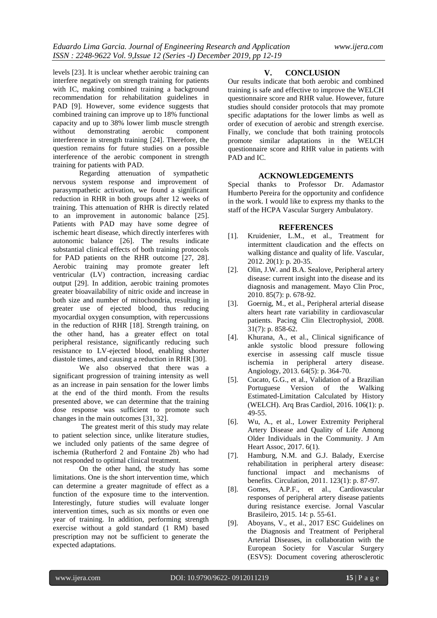levels [23]. It is unclear whether aerobic training can interfere negatively on strength training for patients with IC, making combined training a background recommendation for rehabilitation guidelines in PAD [9]. However, some evidence suggests that combined training can improve up to 18% functional capacity and up to 38% lower limb muscle strength without demonstrating aerobic component interference in strength training [24]. Therefore, the question remains for future studies on a possible interference of the aerobic component in strength training for patients with PAD.

Regarding attenuation of sympathetic nervous system response and improvement of parasympathetic activation, we found a significant reduction in RHR in both groups after 12 weeks of training. This attenuation of RHR is directly related to an improvement in autonomic balance [25]. Patients with PAD may have some degree of ischemic heart disease, which directly interferes with autonomic balance [26]. The results indicate substantial clinical effects of both training protocols for PAD patients on the RHR outcome [27, 28]. Aerobic training may promote greater left ventricular (LV) contraction, increasing cardiac output [29]. In addition, aerobic training promotes greater bioavailability of nitric oxide and increase in both size and number of mitochondria, resulting in greater use of ejected blood, thus reducing myocardial oxygen consumption, with repercussions in the reduction of RHR [18]. Strength training, on the other hand, has a greater effect on total peripheral resistance, significantly reducing such resistance to LV-ejected blood, enabling shorter diastole times, and causing a reduction in RHR [30].

We also observed that there was a significant progression of training intensity as well as an increase in pain sensation for the lower limbs at the end of the third month. From the results presented above, we can determine that the training dose response was sufficient to promote such changes in the main outcomes [31, 32].

The greatest merit of this study may relate to patient selection since, unlike literature studies, we included only patients of the same degree of ischemia (Rutherford 2 and Fontaine 2b) who had not responded to optimal clinical treatment.

On the other hand, the study has some limitations. One is the short intervention time, which can determine a greater magnitude of effect as a function of the exposure time to the intervention. Interestingly, future studies will evaluate longer intervention times, such as six months or even one year of training. In addition, performing strength exercise without a gold standard (1 RM) based prescription may not be sufficient to generate the expected adaptations.

## **V. CONCLUSION**

Our results indicate that both aerobic and combined training is safe and effective to improve the WELCH questionnaire score and RHR value. However, future studies should consider protocols that may promote specific adaptations for the lower limbs as well as order of execution of aerobic and strength exercise. Finally, we conclude that both training protocols promote similar adaptations in the WELCH questionnaire score and RHR value in patients with PAD and IC.

#### **ACKNOWLEDGEMENTS**

Special thanks to Professor Dr. Adamastor Humberto Pereira for the opportunity and confidence in the work. I would like to express my thanks to the staff of the HCPA Vascular Surgery Ambulatory.

#### **REFERENCES**

- [1]. Kruidenier, L.M., et al., Treatment for intermittent claudication and the effects on walking distance and quality of life. Vascular, 2012. 20(1): p. 20-35.
- [2]. Olin, J.W. and B.A. Sealove, Peripheral artery disease: current insight into the disease and its diagnosis and management. Mayo Clin Proc, 2010. 85(7): p. 678-92.
- [3]. Goernig, M., et al., Peripheral arterial disease alters heart rate variability in cardiovascular patients. Pacing Clin Electrophysiol, 2008. 31(7): p. 858-62.
- [4]. Khurana, A., et al., Clinical significance of ankle systolic blood pressure following exercise in assessing calf muscle tissue ischemia in peripheral artery disease. Angiology, 2013. 64(5): p. 364-70.
- [5]. Cucato, G.G., et al., Validation of a Brazilian Portuguese Version of the Walking Estimated-Limitation Calculated by History (WELCH). Arq Bras Cardiol, 2016. 106(1): p. 49-55.
- [6]. Wu, A., et al., Lower Extremity Peripheral Artery Disease and Quality of Life Among Older Individuals in the Community. J Am Heart Assoc, 2017. 6(1).
- [7]. Hamburg, N.M. and G.J. Balady, Exercise rehabilitation in peripheral artery disease: functional impact and mechanisms of benefits. Circulation, 2011. 123(1): p. 87-97.
- [8]. Gomes, A.P.F., et al., Cardiovascular responses of peripheral artery disease patients during resistance exercise. Jornal Vascular Brasileiro, 2015. 14: p. 55-61.
- [9]. Aboyans, V., et al., 2017 ESC Guidelines on the Diagnosis and Treatment of Peripheral Arterial Diseases, in collaboration with the European Society for Vascular Surgery (ESVS): Document covering atherosclerotic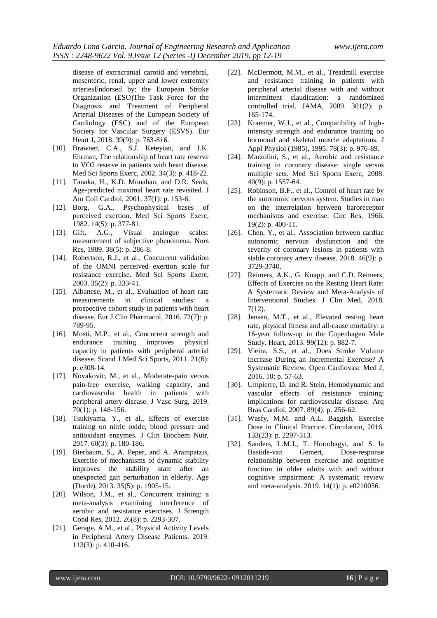disease of extracranial carotid and vertebral, mesenteric, renal, upper and lower extremity arteriesEndorsed by: the European Stroke Organization (ESO)The Task Force for the Diagnosis and Treatment of Peripheral Arterial Diseases of the European Society of Cardiology (ESC) and of the European Society for Vascular Surgery (ESVS). Eur Heart J, 2018. 39(9): p. 763-816.

- [10]. Brawner, C.A., S.J. Keteyian, and J.K. Ehrman, The relationship of heart rate reserve to VO2 reserve in patients with heart disease. Med Sci Sports Exerc, 2002. 34(3): p. 418-22.
- [11]. Tanaka, H., K.D. Monahan, and D.R. Seals, Age-predicted maximal heart rate revisited. J Am Coll Cardiol, 2001. 37(1): p. 153-6.
- [12]. Borg, G.A., Psychophysical bases of perceived exertion. Med Sci Sports Exerc, 1982. 14(5): p. 377-81.
- [13]. Gift, A.G., Visual analogue scales: measurement of subjective phenomena. Nurs Res, 1989. 38(5): p. 286-8.
- [14]. Robertson, R.J., et al., Concurrent validation of the OMNI perceived exertion scale for resistance exercise. Med Sci Sports Exerc, 2003. 35(2): p. 333-41.
- [15]. Albanese, M., et al., Evaluation of heart rate measurements in clinical studies: a prospective cohort study in patients with heart disease. Eur J Clin Pharmacol, 2016. 72(7): p. 789-95.
- [16]. Mosti, M.P., et al., Concurrent strength and endurance training capacity in patients with peripheral arterial disease. Scand J Med Sci Sports, 2011. 21(6): p. e308-14.
- [17]. Novakovic, M., et al., Moderate-pain versus pain-free exercise, walking capacity, and cardiovascular health in patients with peripheral artery disease. J Vasc Surg, 2019. 70(1): p. 148-156.
- [18]. Tsukiyama, Y., et al., Effects of exercise training on nitric oxide, blood pressure and antioxidant enzymes. J Clin Biochem Nutr, 2017. 60(3): p. 180-186.
- [19]. Bierbaum, S., A. Peper, and A. Arampatzis, Exercise of mechanisms of dynamic stability improves the stability state after an unexpected gait perturbation in elderly. Age (Dordr), 2013. 35(5): p. 1905-15.
- [20]. Wilson, J.M., et al., Concurrent training: a meta-analysis examining interference of aerobic and resistance exercises. J Strength Cond Res, 2012. 26(8): p. 2293-307.
- [21]. Gerage, A.M., et al., Physical Activity Levels in Peripheral Artery Disease Patients. 2019. 113(3): p. 410-416.
- [22]. McDermott, M.M., et al., Treadmill exercise and resistance training in patients with peripheral arterial disease with and without intermittent claudication: a randomized controlled trial. JAMA, 2009. 301(2): p. 165‐174.
- [23]. Kraemer, W.J., et al., Compatibility of highintensity strength and endurance training on hormonal and skeletal muscle adaptations. J Appl Physiol (1985), 1995. 78(3): p. 976-89.
- [24]. Marzolini, S., et al., Aerobic and resistance training in coronary disease: single versus multiple sets. Med Sci Sports Exerc, 2008. 40(9): p. 1557-64.
- [25]. Robinson, B.F., et al., Control of heart rate by the autonomic nervous system. Studies in man on the interrelation between baroreceptor mechanisms and exercise. Circ Res, 1966. 19(2): p. 400-11.
- [26]. Chen, Y., et al., Association between cardiac autonomic nervous dysfunction and the severity of coronary lesions in patients with stable coronary artery disease. 2018. 46(9): p. 3729-3740.
- [27]. Reimers, A.K., G. Knapp, and C.D. Reimers, Effects of Exercise on the Resting Heart Rate: A Systematic Review and Meta-Analysis of Interventional Studies. J Clin Med, 2018. 7(12).
- [28]. Jensen, M.T., et al., Elevated resting heart rate, physical fitness and all-cause mortality: a 16-year follow-up in the Copenhagen Male Study. Heart, 2013. 99(12): p. 882-7.
- [29]. Vieira, S.S., et al., Does Stroke Volume Increase During an Incremental Exercise? A Systematic Review. Open Cardiovasc Med J, 2016. 10: p. 57-63.
- [30]. Umpierre, D. and R. Stein, Hemodynamic and vascular effects of resistance training: implications for cardiovascular disease. Arq Bras Cardiol, 2007. 89(4): p. 256-62.
- [31]. Wasfy, M.M. and A.L. Baggish, Exercise Dose in Clinical Practice. Circulation, 2016. 133(23): p. 2297-313.
- [32]. Sanders, L.M.J., T. Hortobagyi, and S. la Bastide-van Gemert, Dose-response relationship between exercise and cognitive function in older adults with and without cognitive impairment: A systematic review and meta-analysis. 2019. 14(1): p. e0210036.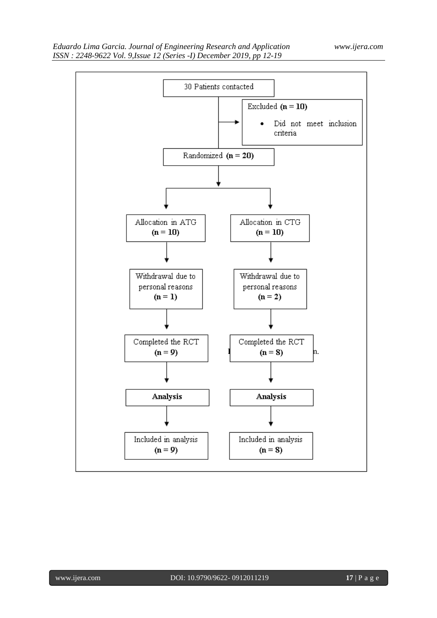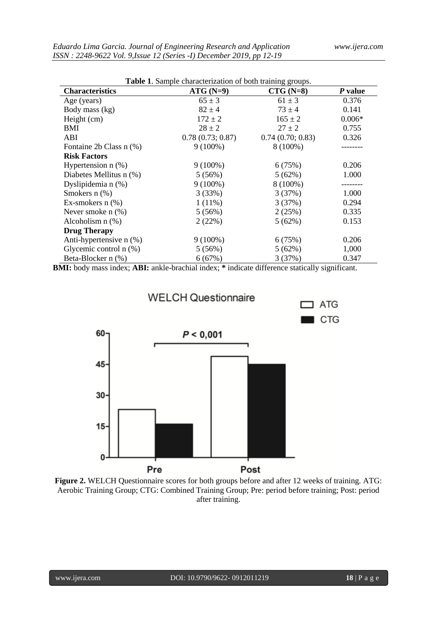$\Box$  ATG

 $\blacksquare$  CTG

| <b>Table 1.</b> Sample characterization of both training groups. |                  |                  |          |
|------------------------------------------------------------------|------------------|------------------|----------|
| <b>Characteristics</b>                                           | $ATG(N=9)$       | $CTG(N=8)$       | P value  |
| Age (years)                                                      | $65 \pm 3$       | $61 \pm 3$       | 0.376    |
| Body mass (kg)                                                   | $82 \pm 4$       | $73 \pm 4$       | 0.141    |
| Height $(cm)$                                                    | $172 \pm 2$      | $165 \pm 2$      | $0.006*$ |
| BMI                                                              | $28 \pm 2$       | $27 \pm 2$       | 0.755    |
| ABI                                                              | 0.78(0.73; 0.87) | 0.74(0.70; 0.83) | 0.326    |
| Fontaine 2b Class n (%)                                          | $9(100\%)$       | 8 (100%)         |          |
| <b>Risk Factors</b>                                              |                  |                  |          |
| Hypertension $n$ $(\%)$                                          | $9(100\%)$       | 6(75%)           | 0.206    |
| Diabetes Mellitus n (%)                                          | 5(56%)           | 5(62%)           | 1.000    |
| Dyslipidemia n (%)                                               | $9(100\%)$       | 8 (100%)         |          |
| Smokers $n$ $(\%)$                                               | 3(33%)           | 3(37%)           | 1.000    |
| Ex-smokers $n$ $%$                                               | $1(11\%)$        | 3(37%)           | 0.294    |
| Never smoke $n$ $(\%)$                                           | 5(56%)           | 2(25%)           | 0.335    |
| Alcoholism $n$ $(\%)$                                            | 2(22%)           | 5(62%)           | 0.153    |
| <b>Drug Therapy</b>                                              |                  |                  |          |
| Anti-hypertensive n (%)                                          | $9(100\%)$       | 6(75%)           | 0.206    |
| Glycemic control $n$ (%)                                         | $5(56\%)$        | 5(62%)           | 1,000    |
| Beta-Blocker n (%)                                               | 6(67%)           | 3(37%)           | 0.347    |

**BMI:** body mass index; **ABI:** ankle-brachial index; **\*** indicate difference statically significant.



**Figure 2.** WELCH Questionnaire scores for both groups before and after 12 weeks of training. ATG: Aerobic Training Group; CTG: Combined Training Group; Pre: period before training; Post: period after training.